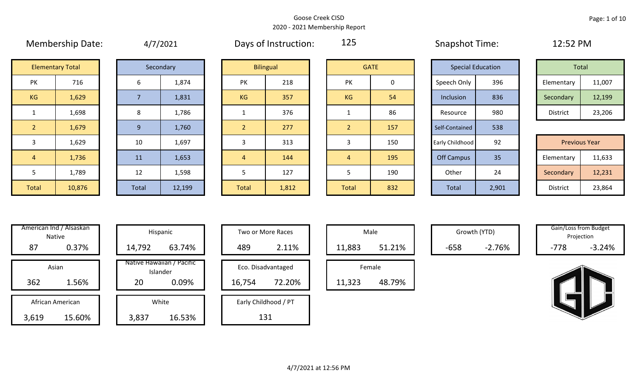|                | <b>INICITINGI SITIN DATE.</b> |       | 4/12021   |                | Days UI MISCRUCTURE | ---            |             | <b>JURNATIOL TITLE.</b>  |       | $LL$ . $JL$ $I$ $IVI$ |                      |        |  |
|----------------|-------------------------------|-------|-----------|----------------|---------------------|----------------|-------------|--------------------------|-------|-----------------------|----------------------|--------|--|
|                | <b>Elementary Total</b>       |       | Secondary |                | <b>Bilingual</b>    |                | <b>GATE</b> | <b>Special Education</b> |       |                       | Total                |        |  |
| PK             | 716                           | 6     | 1,874     | PK             | 218                 | <b>PK</b>      | 0           | Speech Only              | 396   |                       | Elementary           | 11,007 |  |
| KG             | 1,629                         |       | 1,831     | <b>KG</b>      | 357                 | KG             | 54          | Inclusion                | 836   |                       | Secondary            | 12,199 |  |
| $\mathbf{1}$   | 1,698                         | 8     | 1,786     |                | 376                 |                | 86          | Resource                 | 980   |                       | District             | 23,206 |  |
| 2 <sup>1</sup> | 1,679                         | 9     | 1,760     |                | 277                 | 2 <sup>1</sup> | 157         | Self-Contained           | 538   |                       |                      |        |  |
| 3              | 1,629                         | 10    | 1,697     | 3              | 313                 | 3              | 150         | Early Childhood          | 92    |                       | <b>Previous Year</b> |        |  |
| $\overline{4}$ | 1,736                         | 11    | 1,653     | $\overline{4}$ | 144                 | $\overline{4}$ | 195         | <b>Off Campus</b>        | 35    |                       | Elementary           | 11,633 |  |
| 5              | 1,789                         | 12    | 1,598     | 5              | 127                 |                | 190         | Other                    | 24    |                       | Secondary            | 12,231 |  |
| Total          | 10,876                        | Total | 12,199    | <b>Total</b>   | 1,812               | Total          | 832         | Total                    | 2,901 |                       | District             | 23,864 |  |

| 4/7/2021 |  |
|----------|--|
|----------|--|

Membership Date:  $\mu$  4/7/2021 Days of Instruction: 125 Snapshot Time: 12:52 PM

125

|                      | <b>Elementary Total</b> |  | Secondary |           | <b>Bilingual</b> |           | <b>GATE</b> | <b>Special Education</b> |     |            | Total  |
|----------------------|-------------------------|--|-----------|-----------|------------------|-----------|-------------|--------------------------|-----|------------|--------|
| ∕ו ר<br>$\mathbf{v}$ | 716                     |  | 1,874     | PK        | 218              | PK        |             | Speech Only              | 396 | Elementary | 11,007 |
| G                    | 1,629                   |  | 1,831     | <b>KG</b> | 357              | <b>KG</b> | 54          | Inclusion                | 836 | Secondary  | 12,199 |
|                      | 1,698                   |  | 1,786     |           | 376              |           | 86          | Resource                 | 980 | District   | 23,206 |

|             | 1,629  | 10    | 1,697  |              | 313   |              | 150 | Early Childhood | 92    | <b>Previous Year</b> |        |
|-------------|--------|-------|--------|--------------|-------|--------------|-----|-----------------|-------|----------------------|--------|
|             | 1,736  | 11    | 1,653  |              | 144   |              | 195 | Off Campus      | 35    | Elementary           | 11,633 |
|             | 1,789  | 12    | 1,598  |              | 127   |              | 190 | Other           | 24    | Secondary            | 12,231 |
| <b>otal</b> | 10,876 | Total | 12,199 | <b>Total</b> | 1,812 | <b>Total</b> | 832 | <b>Total</b>    | 2,901 | District             | 23,864 |

|       | American Ind / Alsaskan<br><b>Native</b> |        | Hispanic                              |
|-------|------------------------------------------|--------|---------------------------------------|
| 87    | 0.37%                                    | 14,792 | 63.74%                                |
|       | Asian                                    |        | Native Hawaiian / Pacific<br>Islander |
| 362   | 1.56%                                    | 20     | 0.09%                                 |
|       | African American                         |        | White                                 |
| 3,619 | 15.60%                                   | 3,837  | 16.53%                                |

|      | merican Ind / Alsaskan<br>Native |        | Hispanic                              |        | Two or More Races    |        | Male   |        | Growth (YTD) |        | Gain/Loss from Budget<br>Projection |
|------|----------------------------------|--------|---------------------------------------|--------|----------------------|--------|--------|--------|--------------|--------|-------------------------------------|
| 87   | 0.37%                            | 14,792 | 63.74%                                | 489    | 2.11%                | 11,883 | 51.21% | $-658$ | $-2.76%$     | $-778$ | $-3.24%$                            |
|      | Asian                            |        | Native Hawaiian / Pacific<br>Islander |        | Eco. Disadvantaged   |        | Female |        |              |        |                                     |
| 362  | 1.56%                            | 20     | 0.09%                                 | 16,754 | 72.20%               | 11,323 | 48.79% |        |              |        |                                     |
|      | African American                 |        | White                                 |        | Early Childhood / PT |        |        |        |              |        |                                     |
| ,619 | 15.60%                           | 3,837  | 16.53%                                |        | 131                  |        |        |        |              |        |                                     |

| Hispanic                                |        | <b>Two or More Races</b>     |        | Male   |
|-----------------------------------------|--------|------------------------------|--------|--------|
| 63.74%                                  | 489    | 2.11%                        | 11,883 |        |
| lawaiian / Pacific<br>Islander<br>0.09% | 16,754 | Eco. Disadvantaged<br>72.20% | 11,323 | Female |
| White<br>16.53%                         |        | Early Childhood / PT<br>131  |        |        |

|        | Male   |  |
|--------|--------|--|
| 11,883 | 51.21% |  |
|        | Female |  |
| 11,323 | 48.79% |  |

Growth (YTD) Gain/Loss from Budget Projection

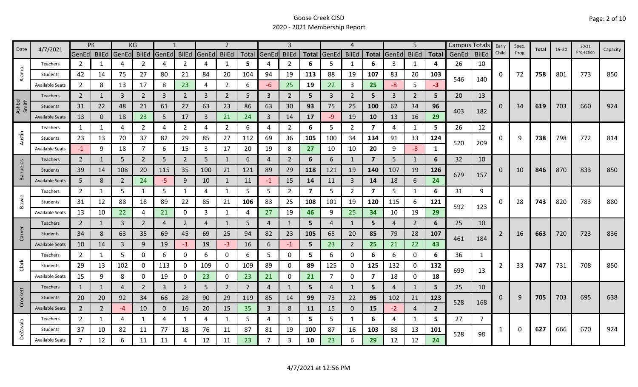| 4/7/2021<br>Date | <b>PK</b>              |                |    | KG             |                |                |                | $\overline{2}$ |                |     |                |                |                         | 4              |                |                         | 5              |                | Campus Totals  |       | Early        | Spec.    | Total | $19 - 20$ | $20 - 21$ |            |          |
|------------------|------------------------|----------------|----|----------------|----------------|----------------|----------------|----------------|----------------|-----|----------------|----------------|-------------------------|----------------|----------------|-------------------------|----------------|----------------|----------------|-------|--------------|----------|-------|-----------|-----------|------------|----------|
|                  |                        | GenEd BilEd    |    | GenEd BilEd    |                | GenEd          | <b>BilEd</b>   | GenEd          | <b>BilEd</b>   |     | Total GenEd    | <b>BilEd</b>   |                         | Total GenEd    | <b>BilEd</b>   | <b>Total</b>            | GenEd          | <b>BilEd</b>   | <b>Total</b>   | GenEd | <b>BilEd</b> | Child    | Prog  |           |           | Projection | Capacity |
|                  | Teachers               | $\overline{2}$ | 1  | 4              | 2              | 4              | $\overline{2}$ | 4              | $\mathbf{1}$   | 5   | 4              | 2              | 6                       | 5              | -1             | 6                       | 3              | 1              | 4              | 26    | 10           |          |       |           |           |            |          |
| Alamo            | Students               | 42             | 14 | 75             | 27             | 80             | 21             | 84             | 20             | 104 | 94             | 19             | 113                     | 88             | 19             | 107                     | 83             | 20             | 103            | 546   | 140          | 0        | 72    | 758       | 801       | 773        | 850      |
|                  | <b>Available Seats</b> | $\overline{2}$ | 8  | 13             | 17             | 8              | 23             | 4              | $\overline{2}$ | 6   | -6             | 25             | 19                      | 22             | 3              | 25                      | $-8$           | 5              | $-3$           |       |              |          |       |           |           |            |          |
|                  | <b>Teachers</b>        | $2^{\circ}$    |    | $\overline{3}$ | $\overline{2}$ | $\overline{3}$ | $\overline{2}$ | 3              | $\overline{2}$ | 5   | 3              | $\overline{2}$ | 5                       | $\mathbf{3}$   | $\overline{2}$ | 5                       | $\overline{3}$ | $\overline{2}$ | 5              | 20    | 13           |          |       |           |           |            |          |
| Ashbel<br>Smith  | Students               | 31             | 22 | 48             | 21             | 61             | 27             | 63             | 23             | 86  | 63             | 30             | 93                      | 75             | 25             | 100                     | 62             | 34             | 96             | 403   |              | $\Omega$ | 34    | 619       | 703       | 660        | 924      |
|                  | <b>Available Seats</b> | 13             | 0  | 18             | 23             | 5              | 17             | 3              | 21             | 24  | $\overline{3}$ | 14             | 17                      | $-9$           | 19             | 10                      | 13             | 16             | 29             |       | 182          |          |       |           |           |            |          |
|                  | Teachers               | 1              | 1  | 4              | 2              | 4              | $\overline{2}$ | 4              | $\overline{2}$ | 6   | 4              | $\overline{2}$ | 6                       | 5              | $\overline{2}$ | $\overline{\mathbf{z}}$ | 4              | 1              | 5              | 26    | 12           |          |       |           |           |            |          |
| Austin           | Students               | 23             | 13 | 70             | 37             | 82             | 29             | 85             | 27             | 112 | 69             | 36             | 105                     | 100            | 34             | 134                     | 91             | 33             | 124            | 520   | 209          | 0        | 9     | 738       | 798       | 772        | 814      |
|                  | <b>Available Seats</b> | $-1$           | 9  | 18             | $\overline{7}$ | 6              | 15             | 3              | 17             | 20  | 19             | 8              | 27                      | 10             | 10             | 20                      | 9              | $-8-$          | 1              |       |              |          |       |           |           |            |          |
|                  | <b>Teachers</b>        | $\overline{2}$ | 1  | 5              | $\overline{2}$ | 5              | $\overline{2}$ | 5              | 1              | 6   | 4              | $\overline{2}$ | 6                       | 6              | 1              | $\overline{7}$          | 5              | 1              | 6              | 32    | 10           |          |       |           |           |            |          |
| <b>Banuelos</b>  | Students               | 39             | 14 | 108            | 20             | 115            | 35             | 100            | 21             | 121 | 89             | 29             | 118                     | 121            | 19             | 140                     | 107            | 19             | 126            |       |              | 0        | 10    | 846       | 870       | 833        | 850      |
|                  | <b>Available Seats</b> | 5              | 8  | $\overline{2}$ | 24             | $-5$           | 9              | 10             | $\mathbf{1}$   | 11  | $-1$           | 15             | 14                      | 11             | $\overline{3}$ | 14                      | 18             | 6              | 24             | 679   | 157          |          |       |           |           |            |          |
|                  | Teachers               | $\overline{2}$ | 1  | 5              |                | 5              | $\mathbf{1}$   | 4              | $\mathbf{1}$   | 5   | 5              | $\overline{2}$ | $\overline{\mathbf{z}}$ | 5              | $\overline{2}$ | $\overline{\mathbf{z}}$ | 5              | $\mathbf{1}$   | 6              | 31    | 9            |          |       |           |           |            |          |
| Bowie            | Students               | 31             | 12 | 88             | 18             | 89             | 22             | 85             | 21             | 106 | 83             | 25             | 108                     | 101            | 19             | 120                     | 115            | 6              | 121            | 592   | 123          | 0        | 28    | 743       | 820       | 783        | 880      |
|                  | <b>Available Seats</b> | 13             | 10 | 22             | 4              | 21             | 0              | 3              | $\mathbf{1}$   | 4   | 27             | 19             | 46                      | 9              | 25             | 34                      | 10             | 19             | 29             |       |              |          |       |           |           |            |          |
|                  | Teachers               | $\overline{2}$ | 1  | 3              | $\overline{2}$ | $\overline{4}$ | $\overline{2}$ | 4              | 1              | 5   | 4              |                | 5                       | 4              | 1              | 5                       | 4              | $\overline{2}$ | 6              | 25    | 10           |          |       |           |           |            |          |
| Carver           | Students               | 34             | 8  | 63             | 35             | 69             | 45             | 69             | 25             | 94  | 82             | 23             | 105                     | 65             | 20             | 85                      | 79             | 28             | 107            | 461   | 184          |          | 16    | 663       | 720       | 723        | 836      |
|                  | <b>Available Seats</b> | 10             | 14 | $\overline{3}$ | 9              | 19             | $-1$           | 19             | $-3$           | 16  | 6              | -1             | 5                       | 23             | $\overline{2}$ | 25                      | 21             | 22             | 43             |       |              |          |       |           |           |            |          |
|                  | Teachers               | $\overline{2}$ | 1  | 5              | $\mathbf 0$    | 6              | 0              | 6              | 0              | 6   | 5.             | 0              | 5                       | 6              | 0              | 6                       | 6              | $\mathbf 0$    | 6              | 36    | 1            |          |       |           |           |            |          |
| Clark            | Students               | 29             | 13 | 102            | 0              | 113            | $\mathbf{0}$   | 109            | 0              | 109 | 89             | 0              | 89                      | 125            | 0              | 125                     | 132            | 0              | 132            | 699   | 13           |          | 33    | 747       | 731       | 708        | 850      |
|                  | <b>Available Seats</b> | 15             | 9  | 8              | 0              | 19             | 0              | 23             | $\mathbf 0$    | 23  | 21             | 0              | 21                      | $\overline{7}$ | 0              | 7                       | 18             | $\mathbf 0$    | 18             |       |              |          |       |           |           |            |          |
|                  | Teachers               | $\mathbf{1}$   | 1  | 4              | $\overline{2}$ | 3              | $\overline{2}$ | 5              | $\overline{2}$ | 7   | 4              |                | 5                       | $\overline{4}$ | $\mathbf{1}$   | 5                       | 4              | 1              | 5              | 25    | 10           |          |       |           |           |            |          |
| Crockett         | Students               | 20             | 20 | 92             | 34             | 66             | 28             | 90             | 29             | 119 | 85             | 14             | 99                      | 73             | 22             | 95                      | 102            | 21             | 123            | 528   | 168          | 0        | 9     | 705       | 703       | 695        | 638      |
|                  | <b>Available Seats</b> | $\overline{2}$ | 2  | -4             | 10             | $\mathbf{0}$   | 16             | 20             | 15             | 35  | 3              | 8              | <b>11</b>               | 15             | $\mathbf{0}$   | 15                      | $-2$           | $\overline{4}$ | $\overline{2}$ |       |              |          |       |           |           |            |          |
|                  | Teachers               | $\overline{2}$ | 1  | 4              | 1              | 4              | $\mathbf{1}$   | 4              | $\mathbf{1}$   | 5   | 4              | 1              | 5                       | 5              | $\mathbf{1}$   | 6                       | 4              | $\mathbf{1}$   | 5.             | 27    | 7            |          |       |           |           |            |          |
| <b>DeZavala</b>  | Students               | 37             | 10 | 82             | 11             | 77             | 18             | 76             | 11             | 87  | 81             | 19             | 100                     | 87             | 16             | 103                     | 88             | 13             | 101            | 528   | 98           |          | 0     | 627       | 666       | 670        | 924      |
|                  | <b>Available Seats</b> | $\overline{7}$ | 12 | 6              | 11             | 11             | Δ              | 12             | 11             | 23  | $\overline{7}$ |                | 10                      | 23             | 6              | 29                      | 12             | 12             | 24             |       |              |          |       |           |           |            |          |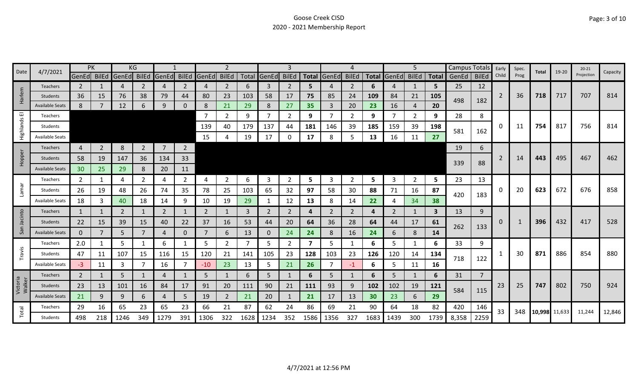| 4/7/2021<br>Date   |                        | PK              |                | ΚG             |                |                |                |             |                |      |                |                |                         |                |              |      | 5                 |                | Campus Totals |             | Early          | Spec.          | Total | 19-20         | $20 - 21$ | Capacity   |        |
|--------------------|------------------------|-----------------|----------------|----------------|----------------|----------------|----------------|-------------|----------------|------|----------------|----------------|-------------------------|----------------|--------------|------|-------------------|----------------|---------------|-------------|----------------|----------------|-------|---------------|-----------|------------|--------|
|                    |                        | GenEd BilEd     |                | GenEd          | BilEd          | GenEd          | <b>BilEd</b>   | GenEd BilEd |                |      | Total GenEd    | <b>BilEd</b>   | <b>Total</b>            | GenEd          | <b>BilEd</b> |      | Total GenEd BilEd |                |               | Total GenEd | <b>BilEd</b>   | Child          | Prog  |               |           | Projection |        |
|                    | <b>Teachers</b>        | 2               |                | 4              | 2              | 4              | 2              | 4           | $\overline{2}$ | 6    | 3              | 2              | 5                       |                | 2            | 6    | 4                 | 1              | 5             | 25          | 12             |                |       |               |           |            |        |
| Harlem             | Students               | 36              | 15             | 76             | 38             | 79             | 44             | 80          | 23             | 103  | 58             | 17             | 75                      | 85             | 24           | 109  | 84                | 21             | 105           | 498         | 182            | $\overline{2}$ | 36    | 718           | 717       | 707        | 814    |
|                    | <b>Available Seats</b> | 8               |                | 12             | 6              | 9              | 0              | 8           | 21             | 29   | 8              | 27             | 35                      | 3              | 20           | 23   | 16                | 4              | 20            |             |                |                |       |               |           |            |        |
| 画                  | Teachers               |                 |                |                |                |                |                |             | $\overline{2}$ | 9    | $\overline{7}$ | $\overline{2}$ | 9                       |                | 2            | 9    | 7                 | $\overline{2}$ | 9             | 28          | 8              |                |       |               |           |            |        |
| Highlands          | Students               |                 |                |                |                |                |                | 139         | 40             | 179  | 137            | 44             | 181                     | 146            | 39           | 185  | 159               | 39             | 198           | 581         | 162            | 0              | 11    | 754           | 817       | 756        | 814    |
|                    | <b>Available Seats</b> |                 |                |                |                |                |                | 15          | 4              | 19   | 17             |                | 17                      | 8              | .5           | 13   | 16                | 11             | 27            |             |                |                |       |               |           |            |        |
|                    | <b>Teachers</b>        | 4               | $\overline{2}$ | 8              | $\overline{2}$ | $\overline{7}$ | $\overline{2}$ |             |                |      |                |                |                         |                |              |      |                   |                |               | 19          | 6              |                |       |               |           |            |        |
| Hopper             | <b>Students</b>        | 58              | 19             | 147            | 36             | 134            | 33             |             |                |      |                |                |                         |                |              |      |                   |                |               | 339         | 88             | 2              | 14    | 443           | 495       | 467        | 462    |
|                    | <b>Available Seats</b> | 30 <sup>°</sup> | 25             | 29             | 8              | 20             | 11             |             |                |      |                |                |                         |                |              |      |                   |                |               |             |                |                |       |               |           |            |        |
|                    | Teachers               | $\mathbf{2}$    | 1              | 4              | 2              | 4              | $\mathbf{2}$   | 4           | $\overline{2}$ | 6    | 3              | 2              | 5                       | 3              | 2            | 5    | 3                 | $\overline{2}$ | 5             | 23          | 13             |                |       |               |           |            |        |
| Lamar              | Students               | 26              | 19             | 48             | 26             | 74             | 35             | 78          | 25             | 103  | 65             | 32             | 97                      | 58             | 30           | 88   | 71                | 16             | 87            |             |                | 0              | 20    | 623           | 672       | 676        | 858    |
|                    | <b>Available Seats</b> | 18              | 3              | 40             | 18             | 14             | 9              | 10          | 19             | 29   |                | 12             | 13                      | 8              | 14           | 22   | 4                 | 34             | 38            | 420         | 183            |                |       |               |           |            |        |
|                    | Teachers               | 1               | 1              | $\overline{2}$ |                | 2              | $\mathbf{1}$   | 2           | $\mathbf{1}$   | 3    | 2              | 2              | 4                       | 2              | 2            | 4    | 2                 | 1              | 3             | 13          | 9              |                |       |               |           |            |        |
| Jacinto            | <b>Students</b>        | 22              | 15             | 39             | 15             | 40             | 22             | 37          | 16             | 53   | 44             | 20             | 64                      | 36             | 28           | 64   | 44                | 17             | 61            |             |                | 0              | -1    | 396           | 432       | 417        | 528    |
| San                | <b>Available Seats</b> | $\mathbf{0}$    |                | 5              |                | 4              | $\Omega$       | 7           | 6              | 13   | $\mathbf{0}$   | 24             | 24                      | 8              | 16           | 24   | 6                 | 8              | 14            | 262         | 133            |                |       |               |           |            |        |
|                    | Teachers               | 2.0             | 1              | 5              |                | 6              | 1              | 5           | $\overline{2}$ |      | 5              | 2              | $\overline{\mathbf{z}}$ | 5              |              | 6    | 5                 | 1              | 6             | 33          | 9              |                |       |               |           |            |        |
| Travis             | Students               | 47              | 11             | 107            | 15             | 116            | 15             | 120         | 21             | 141  | 105            | 23             | 128                     | 103            | 23           | 126  | 120               | 14             | 134           | 718         | 122            | 1              | 30    | 871           | 886       | 854        | 880    |
|                    | <b>Available Seats</b> | $-3$            | 11             | 3              |                | 16             | $\overline{7}$ | $-10$       | 23             | 13   | 5              | 21             | 26                      | $\overline{7}$ | $-1$         | 6    | 5                 | 11             | 16            |             |                |                |       |               |           |            |        |
|                    | <b>Teachers</b>        | $\overline{2}$  | 1              | 5              |                | 4              |                | 5           | $\mathbf{1}$   | 6    | 5              |                | 6                       | 5              | $\mathbf{1}$ | 6    | 5                 | 1              | 6             | 31          | $\overline{7}$ |                |       |               |           |            |        |
| Victoria<br>Walker | Students               | 23              | 13             | 101            | 16             | 84             | 17             | 91          | 20             | 111  | 90             | 21             | 111                     | 93             | 9            | 102  | 102               | 19             | 121           |             |                | 23             | 25    | 747           | 802       | 750        | 924    |
|                    | <b>Available Seats</b> | 21              | 9              | 9              | 6              | 4              | 5              | 19          | $\overline{2}$ | 21   | 20             |                | 21                      | 17             | 13           | 30   | 23                | 6              | 29            | 584         | 115            |                |       |               |           |            |        |
|                    | Teachers               | 29              | 16             | 65             | 23             | 65             | 23             | 66          | 21             | 87   | 62             | 24             | 86                      | 69             | 21           | 90   | 64                | 18             | 82            | 420         | 146            | 33             | 348   | 10,998 11,633 |           |            | 12,846 |
| Total              | Students               | 498             | 218            | 1246           | 349            | 1279           | 391            | 1306        | 322            | 1628 | 1234           | 352            | 1586                    | 1356           | 327          | 1683 | 1439              | 300            | 1739          | 8,358       | 2259           |                |       |               |           | 11,244     |        |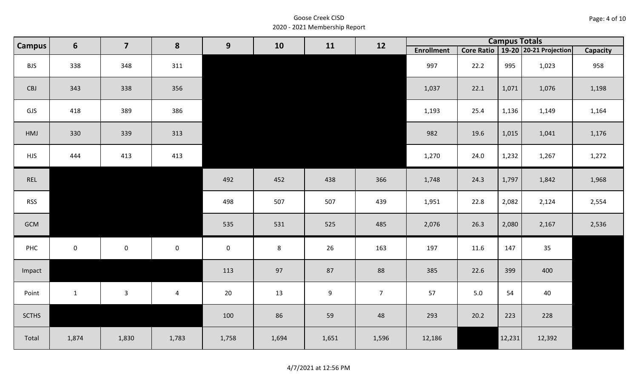| Page: 4 of 10 |  |
|---------------|--|
|---------------|--|

| <b>Campus</b> | $6\phantom{1}$ | $\overline{\mathbf{z}}$ | 8                       | 9           | 10      | 11    | 12             |                   |      | <b>Campus Totals</b> |                                       |                 |
|---------------|----------------|-------------------------|-------------------------|-------------|---------|-------|----------------|-------------------|------|----------------------|---------------------------------------|-----------------|
|               |                |                         |                         |             |         |       |                | <b>Enrollment</b> |      |                      | Core Ratio   19-20   20-21 Projection | <b>Capacity</b> |
| <b>BJS</b>    | 338            | 348                     | 311                     |             |         |       |                | 997               | 22.2 | 995                  | 1,023                                 | 958             |
| CBJ           | 343            | 338                     | 356                     |             |         |       |                | 1,037             | 22.1 | 1,071                | 1,076                                 | 1,198           |
| GJS           | 418            | 389                     | 386                     |             |         |       |                | 1,193             | 25.4 | 1,136                | 1,149                                 | 1,164           |
| HMJ           | 330            | 339                     | 313                     |             |         |       |                | 982               | 19.6 | 1,015                | 1,041                                 | 1,176           |
| <b>HJS</b>    | 444            | 413                     | 413                     |             |         |       |                | 1,270             | 24.0 | 1,232                | 1,267                                 | 1,272           |
| REL           |                |                         |                         | 492         | 452     | 438   | 366            | 1,748             | 24.3 | 1,797                | 1,842                                 | 1,968           |
| <b>RSS</b>    |                |                         |                         | 498         | 507     | 507   | 439            | 1,951             | 22.8 | 2,082                | 2,124                                 | 2,554           |
| GCM           |                |                         |                         | 535         | 531     | 525   | 485            | 2,076             | 26.3 | 2,080                | 2,167                                 | 2,536           |
| PHC           | $\mathbf 0$    | $\mathsf{O}\xspace$     | $\mathbf 0$             | $\mathbf 0$ | $\bf 8$ | 26    | 163            | 197               | 11.6 | 147                  | 35                                    |                 |
| Impact        |                |                         |                         | 113         | 97      | 87    | 88             | 385               | 22.6 | 399                  | 400                                   |                 |
| Point         | $\mathbf{1}$   | $\mathbf{3}$            | $\overline{\mathbf{4}}$ | 20          | 13      | 9     | 7 <sup>7</sup> | 57                | 5.0  | 54                   | 40                                    |                 |
| <b>SCTHS</b>  |                |                         |                         | 100         | 86      | 59    | 48             | 293               | 20.2 | 223                  | 228                                   |                 |
| Total         | 1,874          | 1,830                   | 1,783                   | 1,758       | 1,694   | 1,651 | 1,596          | 12,186            |      | 12,231               | 12,392                                |                 |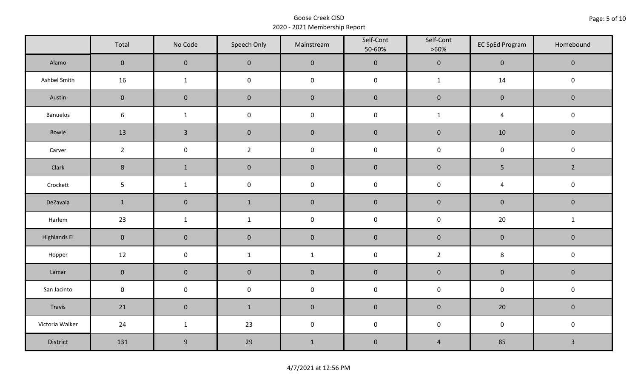|                     | Total          | No Code             | Speech Only         | Mainstream   | Self-Cont<br>50-60% | Self-Cont<br>$>60\%$ | <b>EC SpEd Program</b> | Homebound      |  |
|---------------------|----------------|---------------------|---------------------|--------------|---------------------|----------------------|------------------------|----------------|--|
| Alamo               | $\overline{0}$ | $\mathbf 0$         | $\mathbf 0$         | $\pmb{0}$    | $\pmb{0}$           | $\pmb{0}$            | $\mathbf 0$            | $\mathbf 0$    |  |
| Ashbel Smith        | 16             | $\mathbf{1}$        | $\mathsf{O}\xspace$ | $\pmb{0}$    | $\pmb{0}$           | $\mathbf{1}$         | 14                     | $\mathbf 0$    |  |
| Austin              | $\mathbf 0$    | $\mathbf 0$         | $\mathbf 0$         | $\pmb{0}$    | $\pmb{0}$           | $\pmb{0}$            | $\mathbf 0$            | $\mathbf 0$    |  |
| <b>Banuelos</b>     | $6\,$          | $\mathbf{1}$        | $\pmb{0}$           | $\pmb{0}$    | $\mathsf 0$         | $\mathbf{1}$         | 4                      | $\pmb{0}$      |  |
| Bowie               | 13             | $\overline{3}$      | $\mathbf 0$         | $\pmb{0}$    | $\pmb{0}$           | $\pmb{0}$            | 10                     | $\mathbf 0$    |  |
| Carver              | $\overline{2}$ | $\mathsf{O}\xspace$ | $\overline{2}$      | $\pmb{0}$    | $\pmb{0}$           | $\pmb{0}$            | $\pmb{0}$              | $\mathsf 0$    |  |
| Clark               | $8\phantom{1}$ | $\mathbf{1}$        | $\pmb{0}$           | $\pmb{0}$    | $\pmb{0}$           | $\pmb{0}$            | 5                      | $\overline{2}$ |  |
| Crockett            | 5              | $\mathbf{1}$        | $\pmb{0}$           | $\pmb{0}$    | $\pmb{0}$           | $\pmb{0}$            | $\overline{4}$         | $\pmb{0}$      |  |
| DeZavala            | $\mathbf{1}$   | $\mathbf 0$         | $\mathbf 1$         | $\pmb{0}$    | $\pmb{0}$           | $\pmb{0}$            | $\pmb{0}$              | $\mathbf 0$    |  |
| Harlem              | 23             | $\mathbf{1}$        | $\mathbf{1}$        | $\pmb{0}$    | $\pmb{0}$           | $\pmb{0}$            | 20                     | $\mathbf{1}$   |  |
| <b>Highlands El</b> | $\mathbf 0$    | $\mathbf 0$         | $\mathbf 0$         | $\pmb{0}$    | $\pmb{0}$           | $\pmb{0}$            | $\pmb{0}$              | $\mathbf 0$    |  |
| Hopper              | 12             | $\pmb{0}$           | $\mathbf{1}$        | $\mathbf{1}$ | $\pmb{0}$           | $\overline{2}$       | 8                      | $\pmb{0}$      |  |
| Lamar               | $\mathbf 0$    | $\mathbf 0$         | $\pmb{0}$           | $\pmb{0}$    | $\pmb{0}$           | $\pmb{0}$            | $\pmb{0}$              | $\pmb{0}$      |  |
| San Jacinto         | $\mathbf 0$    | $\mathbf 0$         | $\mathsf{O}\xspace$ | $\pmb{0}$    | $\pmb{0}$           | $\pmb{0}$            | $\pmb{0}$              | $\pmb{0}$      |  |
| Travis              | 21             | $\mathsf{O}\xspace$ | $\mathbf{1}$        | $\pmb{0}$    | $\pmb{0}$           | $\pmb{0}$            | 20                     | $\mathbf 0$    |  |
| Victoria Walker     | 24             | $\mathbf{1}$        | 23                  | $\pmb{0}$    | $\mathsf 0$         | $\pmb{0}$            | $\pmb{0}$              | $\pmb{0}$      |  |
| District            | 131            | $\boldsymbol{9}$    | 29                  | $1\,$        | $\pmb{0}$           | $\overline{4}$       | 85                     | $\mathbf{3}$   |  |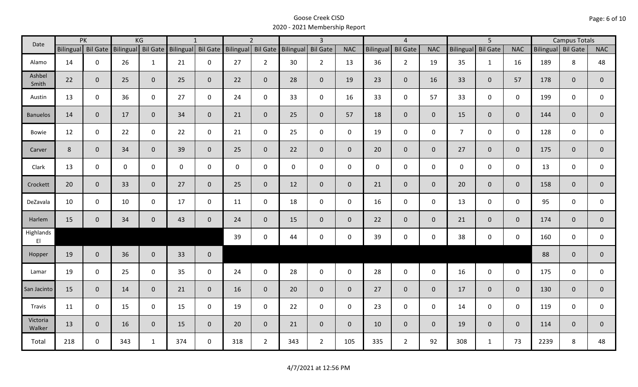| Date                                |                | PK                 |     | KG                 |                    | $\mathbf{1}$ |                    | $\overline{2}$ |           | $\overline{3}$  |                |              | $\overline{4}$  |                |                  | $\overline{5}$  |              |                    | <b>Campus Totals</b> |                |
|-------------------------------------|----------------|--------------------|-----|--------------------|--------------------|--------------|--------------------|----------------|-----------|-----------------|----------------|--------------|-----------------|----------------|------------------|-----------------|--------------|--------------------|----------------------|----------------|
|                                     |                | Bilingual Bil Gate |     | Bilingual Bil Gate | Bilingual Bil Gate |              | Bilingual Bil Gate |                | Bilingual | <b>Bil Gate</b> | <b>NAC</b>     | Bilingual    | <b>Bil Gate</b> | <b>NAC</b>     | <b>Bilingual</b> | <b>Bil Gate</b> | <b>NAC</b>   | Bilingual Bil Gate |                      | <b>NAC</b>     |
| Alamo                               | 14             | 0                  | 26  | $\mathbf{1}$       | 21                 | $\mathbf 0$  | 27                 | $\overline{2}$ | 30        | $\overline{2}$  | 13             | 36           | $\overline{2}$  | 19             | 35               | $\mathbf{1}$    | 16           | 189                | 8                    | 48             |
| Ashbel<br>Smith                     | 22             | $\mathbf{0}$       | 25  | $\mathbf{0}$       | 25                 | $\mathbf{0}$ | 22                 | $\overline{0}$ | 28        | $\overline{0}$  | 19             | 23           | $\mathbf 0$     | 16             | 33               | 0               | 57           | 178                | $\overline{0}$       | $\mathbf{0}$   |
| Austin                              | 13             | $\mathbf 0$        | 36  | $\mathbf 0$        | 27                 | $\mathbf 0$  | 24                 | $\mathbf 0$    | 33        | $\mathsf{O}$    | 16             | 33           | $\mathbf 0$     | 57             | 33               | $\mathbf 0$     | $\mathbf 0$  | 199                | 0                    | 0              |
| <b>Banuelos</b>                     | 14             | $\mathbf{0}$       | 17  | $\overline{0}$     | 34                 | $\mathbf{0}$ | 21                 | $\overline{0}$ | 25        | $\overline{0}$  | 57             | 18           | $\mathbf{0}$    | $\overline{0}$ | 15               | $\overline{0}$  | $\mathbf{0}$ | 144                | $\mathbf{0}$         | $\mathbf{0}$   |
| Bowie                               | 12             | $\mathbf 0$        | 22  | $\mathsf{O}$       | 22                 | $\mathbf 0$  | 21                 | $\mathbf 0$    | 25        | $\mathbf 0$     | $\mathbf 0$    | 19           | $\mathbf 0$     | $\mathbf 0$    | $\overline{7}$   | 0               | $\mathbf 0$  | 128                | 0                    | 0              |
| Carver                              | $8\phantom{1}$ | $\mathbf{0}$       | 34  | $\overline{0}$     | 39                 | $\mathbf{0}$ | 25                 | $\overline{0}$ | 22        | $\overline{0}$  | $\mathbf 0$    | 20           | $\mathbf{0}$    | $\mathbf{0}$   | 27               | $\overline{0}$  | $\mathbf{0}$ | 175                | $\overline{0}$       | $\mathbf 0$    |
| Clark                               | 13             | $\mathbf 0$        | 0   | 0                  | 0                  | $\mathbf 0$  | $\mathbf 0$        | $\mathbf 0$    | $\pmb{0}$ | $\mathbf 0$     | $\mathbf 0$    | $\mathbf{0}$ | $\mathbf 0$     | $\mathbf 0$    | $\mathbf 0$      | 0               | $\mathbf 0$  | 13                 | 0                    | $\mathbf 0$    |
| Crockett                            | 20             | $\mathbf{0}$       | 33  | $\mathbf{0}$       | 27                 | $\mathbf{0}$ | 25                 | $\overline{0}$ | 12        | $\overline{0}$  | $\mathbf{0}$   | 21           | $\mathbf{0}$    | $\overline{0}$ | 20               | $\mathbf{0}$    | $\mathbf{0}$ | 158                | $\overline{0}$       | $\overline{0}$ |
| DeZavala                            | 10             | $\mathbf 0$        | 10  | $\mathbf 0$        | 17                 | $\mathbf 0$  | 11                 | $\mathbf 0$    | 18        | $\mathbf 0$     | $\mathbf 0$    | 16           | $\mathbf 0$     | $\mathbf 0$    | 13               | 0               | $\mathbf 0$  | 95                 | 0                    | 0              |
| Harlem                              | 15             | $\mathbf{0}$       | 34  | $\mathbf{0}$       | 43                 | $\mathbf{0}$ | 24                 | $\overline{0}$ | 15        | $\overline{0}$  | $\overline{0}$ | 22           | $\overline{0}$  | $\overline{0}$ | 21               | $\mathbf{0}$    | $\mathbf{0}$ | 174                | $\mathbf{0}$         | $\overline{0}$ |
| Highlands<br>$\mathsf{E}\mathsf{I}$ |                |                    |     |                    |                    |              | 39                 | $\mathbf 0$    | 44        | $\mathsf{O}$    | $\mathbf 0$    | 39           | $\mathbf 0$     | $\mathsf{O}$   | 38               | 0               | $\mathbf 0$  | 160                | $\mathbf 0$          | 0              |
| Hopper                              | 19             | $\mathbf{0}$       | 36  | $\overline{0}$     | 33                 | $\mathbf 0$  |                    |                |           |                 |                |              |                 |                |                  |                 |              | 88                 | $\mathbf{0}$         | $\overline{0}$ |
| Lamar                               | 19             | $\mathbf 0$        | 25  | $\mathbf 0$        | 35                 | $\mathbf 0$  | 24                 | $\mathbf 0$    | 28        | $\mathsf{O}$    | $\mathbf 0$    | 28           | $\mathsf 0$     | $\mathsf{O}$   | 16               | $\mathsf{O}$    | $\mathbf 0$  | 175                | $\mathbf 0$          | 0              |
| San Jacinto                         | 15             | $\mathbf{0}$       | 14  | $\mathbf{0}$       | 21                 | $\mathbf{0}$ | 16                 | $\overline{0}$ | 20        | $\overline{0}$  | $\mathbf{0}$   | 27           | $\overline{0}$  | $\overline{0}$ | 17               | $\overline{0}$  | $\mathbf{0}$ | 130                | $\mathbf{0}$         | $\mathbf 0$    |
| Travis                              | 11             | $\mathbf 0$        | 15  | $\mathbf 0$        | 15                 | $\mathbf 0$  | 19                 | $\mathbf 0$    | 22        | $\mathbf 0$     | $\mathbf 0$    | 23           | $\mathbf 0$     | $\mathbf 0$    | 14               | $\mathbf 0$     | $\mathbf 0$  | 119                | $\mathbf 0$          | 0              |
| Victoria<br>Walker                  | 13             | $\mathbf 0$        | 16  | $\overline{0}$     | 15                 | $\mathbf{0}$ | 20                 | $\overline{0}$ | 21        | $\overline{0}$  | $\mathbf{0}$   | 10           | $\overline{0}$  | $\overline{0}$ | 19               | 0               | $\mathbf{0}$ | 114                | $\mathbf{0}$         | $\mathbf 0$    |
| Total                               | 218            | $\mathbf 0$        | 343 | $\mathbf{1}$       | 374                | $\mathbf 0$  | 318                | $2^{\circ}$    | 343       | $2^{\circ}$     | 105            | 335          | $\overline{2}$  | 92             | 308              | $\mathbf{1}$    | 73           | 2239               | 8                    | 48             |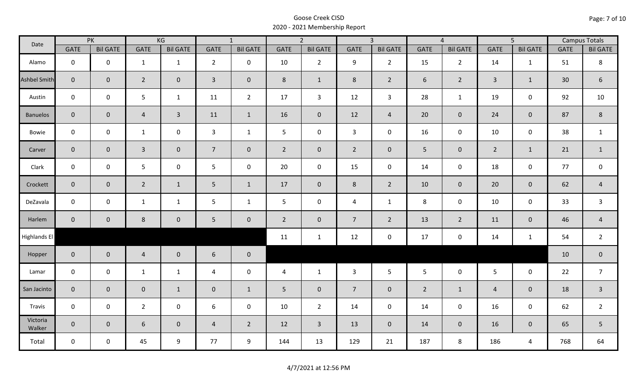| Date               |                | PK              |                  | KG              |                 | $\overline{1}$  |                | $\overline{2}$  |                | $\overline{3}$  |                | $\overline{4}$  |                | $\overline{5}$  |                 | <b>Campus Totals</b> |
|--------------------|----------------|-----------------|------------------|-----------------|-----------------|-----------------|----------------|-----------------|----------------|-----------------|----------------|-----------------|----------------|-----------------|-----------------|----------------------|
|                    | <b>GATE</b>    | <b>Bil GATE</b> | <b>GATE</b>      | <b>Bil GATE</b> | GATE            | <b>Bil GATE</b> | <b>GATE</b>    | <b>Bil GATE</b> | <b>GATE</b>    | <b>Bil GATE</b> | <b>GATE</b>    | <b>Bil GATE</b> | <b>GATE</b>    | <b>Bil GATE</b> | <b>GATE</b>     | <b>Bil GATE</b>      |
| Alamo              | $\mathbf 0$    | $\mathbf 0$     | $\mathbf{1}$     | $\mathbf{1}$    | $\overline{2}$  | $\mathbf 0$     | 10             | $\overline{2}$  | 9              | $2^{\circ}$     | 15             | $\overline{2}$  | 14             | 1               | 51              | $\,8\,$              |
| Ashbel Smith       | $\mathbf{0}$   | $\mathbf{0}$    | $\overline{2}$   | $\overline{0}$  | $\overline{3}$  | $\overline{0}$  | 8              | $\mathbf{1}$    | 8              | $2^{\circ}$     | 6              | $2^{\circ}$     | $\overline{3}$ | $\mathbf{1}$    | 30 <sup>°</sup> | $\sqrt{6}$           |
| Austin             | $\mathsf{O}$   | $\mathbf 0$     | $5\phantom{.}$   | $\mathbf{1}$    | 11              | $\overline{2}$  | 17             | $\mathbf{3}$    | 12             | $\mathbf{3}$    | 28             | $\mathbf{1}$    | 19             | $\mathbf 0$     | 92              | $10\,$               |
| <b>Banuelos</b>    | $\overline{0}$ | $\overline{0}$  | $\overline{4}$   | $\mathbf{3}$    | 11              | $\mathbf{1}$    | 16             | $\mathbf 0$     | 12             | $\overline{4}$  | 20             | $\mathbf 0$     | 24             | $\mathbf 0$     | 87              | $\,8\,$              |
| Bowie              | $\mathbf 0$    | $\mathbf 0$     | $\mathbf{1}$     | $\mathbf 0$     | $\mathbf{3}$    | $\mathbf{1}$    | 5 <sup>5</sup> | $\mathbf 0$     | $\mathbf{3}$   | $\mathbf 0$     | 16             | $\mathbf 0$     | 10             | $\mathbf 0$     | 38              | $\mathbf{1}$         |
| Carver             | $\overline{0}$ | $\overline{0}$  | $\overline{3}$   | $\overline{0}$  | $7\overline{ }$ | $\mathbf 0$     | $\overline{2}$ | $\mathbf 0$     | $2^{\circ}$    | $\overline{0}$  | 5              | $\overline{0}$  | $\overline{2}$ | $\mathbf{1}$    | 21              | $\mathbf{1}$         |
| Clark              | $\mathbf 0$    | $\mathbf 0$     | $5\phantom{.}$   | $\mathbf 0$     | 5 <sub>1</sub>  | $\mathbf 0$     | 20             | $\mathbf 0$     | 15             | $\mathbf 0$     | 14             | $\mathbf 0$     | 18             | $\mathbf 0$     | 77              | $\mathbf 0$          |
| Crockett           | $\overline{0}$ | $\mathbf 0$     | $\overline{2}$   | $\mathbf{1}$    | $5\phantom{.}$  | $\mathbf{1}$    | 17             | $\mathbf{0}$    | 8              | $2^{\circ}$     | 10             | $\overline{0}$  | 20             | $\mathbf 0$     | 62              | $\overline{4}$       |
| DeZavala           | $\mathbf 0$    | $\mathbf 0$     | $\mathbf{1}$     | $\mathbf{1}$    | 5 <sub>1</sub>  | $\mathbf{1}$    | 5 <sup>5</sup> | $\mathbf 0$     | $\overline{4}$ | $\mathbf{1}$    | 8              | $\mathbf 0$     | 10             | $\mathbf 0$     | 33              | $\mathsf{3}$         |
| Harlem             | $\overline{0}$ | $\mathbf 0$     | $\,8\,$          | $\overline{0}$  | 5 <sub>1</sub>  | $\mathbf 0$     | $\overline{2}$ | $\mathbf 0$     | $\overline{7}$ | $\overline{2}$  | 13             | $2^{\circ}$     | 11             | $\mathbf 0$     | 46              | $\overline{4}$       |
| Highlands El       |                |                 |                  |                 |                 |                 | 11             | $\mathbf{1}$    | 12             | $\mathbf 0$     | 17             | 0               | 14             | $\mathbf{1}$    | 54              | $\overline{2}$       |
| Hopper             | $\overline{0}$ | $\overline{0}$  | $\overline{4}$   | $\mathbf 0$     | $6\phantom{.}6$ | $\mathbf 0$     |                |                 |                |                 |                |                 |                |                 | 10              | $\mathbf 0$          |
| Lamar              | $\mathsf{O}$   | $\mathbf 0$     | $\mathbf{1}$     | $\mathbf{1}$    | 4               | $\mathbf 0$     | $\overline{4}$ | $\mathbf{1}$    | $\mathbf{3}$   | 5               | 5 <sup>5</sup> | $\mathbf 0$     | $5\phantom{.}$ | $\mathbf 0$     | 22              | $\overline{7}$       |
| San Jacinto        | $\overline{0}$ | $\mathbf{0}$    | $\mathbf 0$      | $\mathbf{1}$    | $\mathbf{0}$    | $\mathbf{1}$    | 5 <sup>5</sup> | $\mathbf{0}$    | $\overline{7}$ | $\overline{0}$  | $\overline{2}$ | $\mathbf{1}$    | $\overline{4}$ | $\mathbf{0}$    | 18              | $\overline{3}$       |
| Travis             | $\mathbf 0$    | $\mathbf 0$     | $\overline{2}$   | $\mathbf 0$     | 6               | $\mathbf 0$     | 10             | $\overline{2}$  | 14             | $\mathbf 0$     | 14             | $\mathbf 0$     | 16             | $\mathbf 0$     | 62              | $\overline{2}$       |
| Victoria<br>Walker | $\overline{0}$ | $\mathbf{0}$    | $\boldsymbol{6}$ | $\overline{0}$  | $\overline{4}$  | $\overline{2}$  | 12             | $\mathbf{3}$    | 13             | $\overline{0}$  | 14             | $\overline{0}$  | 16             | $\overline{0}$  | 65              | 5                    |
| Total              | $\mathsf{O}$   | $\mathbf 0$     | 45               | 9               | 77              | 9               | 144            | 13              | 129            | 21              | 187            | 8               | 186            | 4               | 768             | 64                   |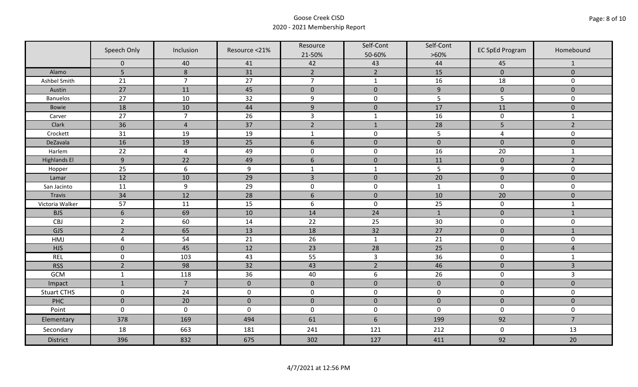|                     | Speech Only         | Inclusion           | Resource <21% | Resource         | Self-Cont        | Self-Cont        | <b>EC SpEd Program</b> | Homebound      |
|---------------------|---------------------|---------------------|---------------|------------------|------------------|------------------|------------------------|----------------|
|                     | $\mathbf 0$         | 40                  | 41            | 21-50%<br>42     | 50-60%<br>43     | $>60\%$<br>44    | 45                     | 1              |
| Alamo               | 5                   | 8                   | 31            | $\overline{2}$   | $\overline{2}$   | 15               | $\overline{0}$         | $\overline{0}$ |
| Ashbel Smith        | 21                  | $\overline{7}$      | 27            | $\overline{7}$   | $\mathbf{1}$     | 16               | 18                     | $\mathsf{O}$   |
| Austin              | 27                  | 11                  | 45            | $\pmb{0}$        | $\pmb{0}$        | $\boldsymbol{9}$ | $\pmb{0}$              | $\overline{0}$ |
| <b>Banuelos</b>     | 27                  | $10\,$              | 32            | $\boldsymbol{9}$ | $\pmb{0}$        | 5                | 5                      | $\mathsf{O}$   |
| <b>Bowie</b>        | 18                  | 10                  | 44            | $9$              | $\pmb{0}$        | 17               | 11                     | $\mathbf{0}$   |
| Carver              | 27                  | $\overline{7}$      | 26            | $\overline{3}$   | $\mathbf{1}$     | 16               | $\pmb{0}$              | $\mathbf{1}$   |
| Clark               | 36                  | $\overline{4}$      | 37            | $\overline{2}$   | $1\,$            | 28               | 5                      | $\overline{2}$ |
| Crockett            | 31                  | 19                  | 19            | $\mathbf{1}$     | $\pmb{0}$        | 5                | 4                      | $\mathbf 0$    |
| DeZavala            | 16                  | 19                  | 25            | $6\,$            | $\pmb{0}$        | $\pmb{0}$        | $\pmb{0}$              | $\mathbf{0}$   |
| Harlem              | 22                  | $\overline{4}$      | 49            | $\pmb{0}$        | $\pmb{0}$        | 16               | 20                     | $\mathbf{1}$   |
| <b>Highlands El</b> | 9                   | 22                  | 49            | $\boldsymbol{6}$ | $\pmb{0}$        | 11               | $\pmb{0}$              | $\overline{2}$ |
| Hopper              | 25                  | 6                   | 9             | $\mathbf{1}$     | $\mathbf{1}$     | 5                | 9                      | 0              |
| Lamar               | 12                  | 10                  | 29            | $\overline{3}$   | $\pmb{0}$        | 20               | $\pmb{0}$              | $\overline{0}$ |
| San Jacinto         | 11                  | 9                   | 29            | $\pmb{0}$        | $\pmb{0}$        | $\mathbf{1}$     | $\mathbf 0$            | $\mathbf 0$    |
| Travis              | 34                  | 12                  | 28            | $\boldsymbol{6}$ | $\mathbf 0$      | 10               | 20                     | $\mathbf 0$    |
| Victoria Walker     | 57                  | 11                  | 15            | $\boldsymbol{6}$ | $\pmb{0}$        | 25               | $\pmb{0}$              | $\mathbf{1}$   |
| <b>BJS</b>          | $\sqrt{6}$          | 69                  | 10            | 14               | 24               | $1\,$            | $\pmb{0}$              | $1\,$          |
| CBJ                 | $\overline{2}$      | 60                  | 14            | 22               | 25               | 30               | $\pmb{0}$              | $\mathbf 0$    |
| GJS                 | $\overline{2}$      | 65                  | 13            | 18               | 32               | 27               | $\pmb{0}$              | $1\,$          |
| <b>HMJ</b>          | $\pmb{4}$           | 54                  | 21            | 26               | $\mathbf{1}$     | 21               | $\pmb{0}$              | 0              |
| <b>HJS</b>          | $\mathbf{0}$        | 45                  | 12            | 23               | 28               | 25               | $\pmb{0}$              | $\overline{4}$ |
| <b>REL</b>          | $\mathbf 0$         | 103                 | 43            | 55               | $\mathsf{3}$     | 36               | $\pmb{0}$              | $\mathbf{1}$   |
| <b>RSS</b>          | $\overline{2}$      | 98                  | 32            | 43               | $\overline{2}$   | 46               | $\mathbf 0$            | $\overline{3}$ |
| <b>GCM</b>          | $\mathbf 1$         | 118                 | 36            | 40               | $\boldsymbol{6}$ | 26               | $\mathbf 0$            | $\overline{3}$ |
| Impact              | $\mathbf{1}$        | $\overline{7}$      | $\mathbf 0$   | $\mathbf 0$      | $\pmb{0}$        | $\pmb{0}$        | $\pmb{0}$              | $\mathbf{0}$   |
| <b>Stuart CTHS</b>  | $\mathsf 0$         | 24                  | $\mathbf 0$   | $\boldsymbol{0}$ | $\mathbf 0$      | $\mathbf 0$      | $\mathbf 0$            | $\mathsf{O}$   |
| PHC                 | $\bf 0$             | 20                  | $\mathbf 0$   | $\mathbf 0$      | $\mathbf 0$      | $\mathbf 0$      | $\mathbf 0$            | $\mathbf 0$    |
| Point               | $\mathsf{O}\xspace$ | $\mathsf{O}\xspace$ | $\pmb{0}$     | $\pmb{0}$        | $\pmb{0}$        | $\mathbf 0$      | $\pmb{0}$              | $\mathbf 0$    |
| Elementary          | 378                 | 169                 | 494           | 61               | $6\,$            | 199              | 92                     | $\overline{7}$ |
| Secondary           | 18                  | 663                 | 181           | 241              | 121              | 212              | $\mathbf 0$            | 13             |
| <b>District</b>     | 396                 | 832                 | 675           | 302              | 127              | 411              | 92                     | 20             |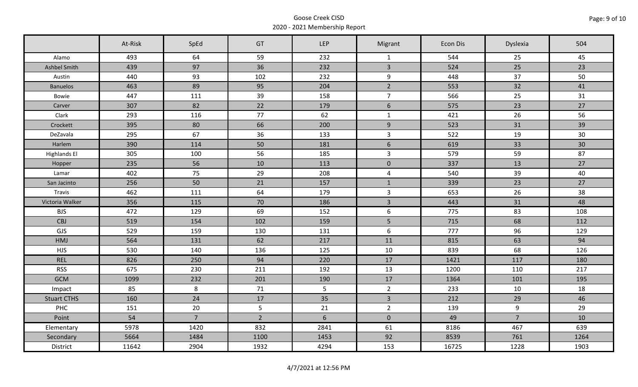|                     | At-Risk | SpEd           | GT          | LEP            | Migrant        | Econ Dis | Dyslexia       | 504  |
|---------------------|---------|----------------|-------------|----------------|----------------|----------|----------------|------|
| Alamo               | 493     | 64             | 59          | 232            | $\mathbf{1}$   | 544      | 25             | 45   |
| Ashbel Smith        | 439     | 97             | 36          | 232            | $\overline{3}$ | 524      | 25             | 23   |
| Austin              | 440     | 93             | 102         | 232            | 9              | 448      | 37             | 50   |
| <b>Banuelos</b>     | 463     | 89             | 95          | 204            | $\overline{2}$ | 553      | 32             | 41   |
| Bowie               | 447     | 111            | 39          | 158            | $\overline{7}$ | 566      | 25             | 31   |
| Carver              | 307     | 82             | 22          | 179            | $6\phantom{a}$ | 575      | 23             | 27   |
| Clark               | 293     | 116            | 77          | 62             | $\mathbf{1}$   | 421      | 26             | 56   |
| Crockett            | 395     | 80             | 66          | 200            | 9              | 523      | 31             | 39   |
| DeZavala            | 295     | 67             | 36          | 133            | $\mathbf{3}$   | 522      | 19             | 30   |
| Harlem              | 390     | 114            | 50          | 181            | $6\phantom{1}$ | 619      | 33             | 30   |
| <b>Highlands El</b> | 305     | 100            | 56          | 185            | $\overline{3}$ | 579      | 59             | 87   |
| Hopper              | 235     | 56             | 10          | 113            | $\pmb{0}$      | 337      | 13             | 27   |
| Lamar               | 402     | 75             | 29          | 208            | $\overline{4}$ | 540      | 39             | 40   |
| San Jacinto         | 256     | 50             | 21          | 157            | $\mathbf{1}$   | 339      | 23             | 27   |
| Travis              | 462     | 111            | 64          | 179            | $\mathbf{3}$   | 653      | 26             | 38   |
| Victoria Walker     | 356     | 115            | 70          | 186            | $\overline{3}$ | 443      | 31             | 48   |
| <b>BJS</b>          | 472     | 129            | 69          | 152            | 6              | 775      | 83             | 108  |
| <b>CBJ</b>          | 519     | 154            | 102         | 159            | 5              | 715      | 68             | 112  |
| GJS                 | 529     | 159            | 130         | 131            | 6              | 777      | 96             | 129  |
| HMJ                 | 564     | 131            | 62          | 217            | 11             | 815      | 63             | 94   |
| <b>HJS</b>          | 530     | 140            | 136         | 125            | 10             | 839      | 68             | 126  |
| <b>REL</b>          | 826     | 250            | 94          | 220            | 17             | 1421     | 117            | 180  |
| <b>RSS</b>          | 675     | 230            | 211         | 192            | 13             | 1200     | 110            | 217  |
| <b>GCM</b>          | 1099    | 232            | 201         | 190            | 17             | 1364     | 101            | 195  |
| Impact              | 85      | 8              | 71          | 5 <sub>1</sub> | $2^{\circ}$    | 233      | 10             | 18   |
| <b>Stuart CTHS</b>  | 160     | 24             | 17          | 35             | $\overline{3}$ | 212      | 29             | 46   |
| PHC                 | 151     | 20             | 5           | 21             | $\overline{2}$ | 139      | 9              | 29   |
| Point               | 54      | 7 <sup>1</sup> | $2^{\circ}$ | 6              | $\mathbf 0$    | 49       | $\overline{7}$ | 10   |
| Elementary          | 5978    | 1420           | 832         | 2841           | 61             | 8186     | 467            | 639  |
| Secondary           | 5664    | 1484           | 1100        | 1453           | 92             | 8539     | 761            | 1264 |
| District            | 11642   | 2904           | 1932        | 4294           | 153            | 16725    | 1228           | 1903 |